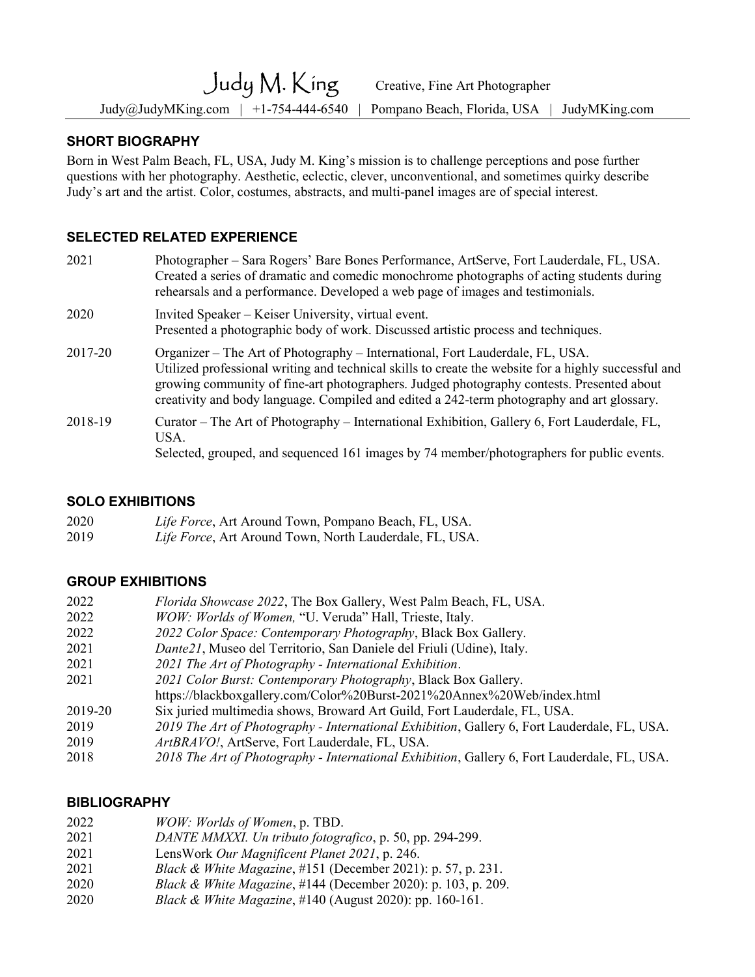Judy M. King Creative, Fine Art Photographer

Judy@JudyMKing.com | +1-754-444-6540 | Pompano Beach, Florida, USA | JudyMKing.com

### SHORT BIOGRAPHY

Born in West Palm Beach, FL, USA, Judy M. King's mission is to challenge perceptions and pose further questions with her photography. Aesthetic, eclectic, clever, unconventional, and sometimes quirky describe Judy's art and the artist. Color, costumes, abstracts, and multi-panel images are of special interest.

# SELECTED RELATED EXPERIENCE

| 2021    | Photographer – Sara Rogers' Bare Bones Performance, ArtServe, Fort Lauderdale, FL, USA.<br>Created a series of dramatic and comedic monochrome photographs of acting students during<br>rehearaals and a performance. Developed a web page of images and testimonials.                                                                                                           |
|---------|----------------------------------------------------------------------------------------------------------------------------------------------------------------------------------------------------------------------------------------------------------------------------------------------------------------------------------------------------------------------------------|
| 2020    | Invited Speaker – Keiser University, virtual event.<br>Presented a photographic body of work. Discussed artistic process and techniques.                                                                                                                                                                                                                                         |
| 2017-20 | Organizer - The Art of Photography - International, Fort Lauderdale, FL, USA.<br>Utilized professional writing and technical skills to create the website for a highly successful and<br>growing community of fine-art photographers. Judged photography contests. Presented about<br>creativity and body language. Compiled and edited a 242-term photography and art glossary. |
| 2018-19 | Curator – The Art of Photography – International Exhibition, Gallery 6, Fort Lauderdale, FL,<br>USA.<br>Selected, grouped, and sequenced 161 images by 74 member/photographers for public events.                                                                                                                                                                                |

#### SOLO EXHIBITIONS

| 2020 | Life Force, Art Around Town, Pompano Beach, FL, USA.    |
|------|---------------------------------------------------------|
| 2019 | Life Force, Art Around Town, North Lauderdale, FL, USA. |

#### GROUP EXHIBITIONS

| 2022    | <i>Florida Showcase 2022</i> , The Box Gallery, West Palm Beach, FL, USA.                    |
|---------|----------------------------------------------------------------------------------------------|
| 2022    | WOW: Worlds of Women, "U. Veruda" Hall, Trieste, Italy.                                      |
| 2022    | 2022 Color Space: Contemporary Photography, Black Box Gallery.                               |
| 2021    | Dante21, Museo del Territorio, San Daniele del Friuli (Udine), Italy.                        |
| 2021    | 2021 The Art of Photography - International Exhibition.                                      |
| 2021    | 2021 Color Burst: Contemporary Photography, Black Box Gallery.                               |
|         | https://blackboxgallery.com/Color%20Burst-2021%20Annex%20Web/index.html                      |
| 2019-20 | Six juried multimedia shows, Broward Art Guild, Fort Lauderdale, FL, USA.                    |
| 2019    | 2019 The Art of Photography - International Exhibition, Gallery 6, Fort Lauderdale, FL, USA. |
| 2019    | ArtBRAVO!, ArtServe, Fort Lauderdale, FL, USA.                                               |
| 2018    | 2018 The Art of Photography - International Exhibition, Gallery 6, Fort Lauderdale, FL, USA. |

# **BIBLIOGRAPHY**

| 2022 | WOW: Worlds of Women, p. TBD.                                       |
|------|---------------------------------------------------------------------|
| 2021 | DANTE MMXXI. Un tributo fotografico, p. 50, pp. 294-299.            |
| 2021 | LensWork Our Magnificent Planet 2021, p. 246.                       |
| 2021 | Black & White Magazine, #151 (December 2021): p. 57, p. 231.        |
| 2020 | Black & White Magazine, #144 (December 2020): p. 103, p. 209.       |
| 2020 | <i>Black &amp; White Magazine,</i> #140 (August 2020): pp. 160-161. |